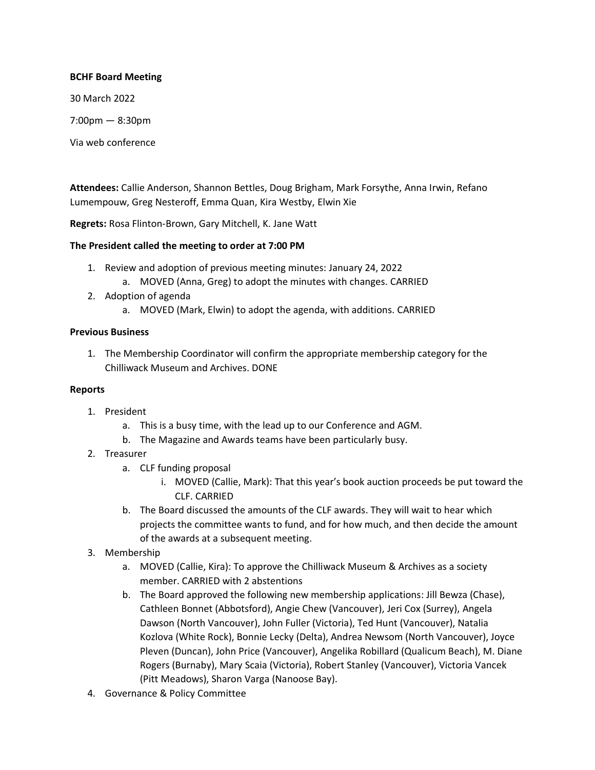## **BCHF Board Meeting**

30 March 2022

7:00pm — 8:30pm

Via web conference

**Attendees:** Callie Anderson, Shannon Bettles, Doug Brigham, Mark Forsythe, Anna Irwin, Refano Lumempouw, Greg Nesteroff, Emma Quan, Kira Westby, Elwin Xie

**Regrets:** Rosa Flinton-Brown, Gary Mitchell, K. Jane Watt

# **The President called the meeting to order at 7:00 PM**

- 1. Review and adoption of previous meeting minutes: January 24, 2022
	- a. MOVED (Anna, Greg) to adopt the minutes with changes. CARRIED
- 2. Adoption of agenda
	- a. MOVED (Mark, Elwin) to adopt the agenda, with additions. CARRIED

### **Previous Business**

1. The Membership Coordinator will confirm the appropriate membership category for the Chilliwack Museum and Archives. DONE

## **Reports**

- 1. President
	- a. This is a busy time, with the lead up to our Conference and AGM.
	- b. The Magazine and Awards teams have been particularly busy.
- 2. Treasurer
	- a. CLF funding proposal
		- i. MOVED (Callie, Mark): That this year's book auction proceeds be put toward the CLF. CARRIED
	- b. The Board discussed the amounts of the CLF awards. They will wait to hear which projects the committee wants to fund, and for how much, and then decide the amount of the awards at a subsequent meeting.
- 3. Membership
	- a. MOVED (Callie, Kira): To approve the Chilliwack Museum & Archives as a society member. CARRIED with 2 abstentions
	- b. The Board approved the following new membership applications: Jill Bewza (Chase), Cathleen Bonnet (Abbotsford), Angie Chew (Vancouver), Jeri Cox (Surrey), Angela Dawson (North Vancouver), John Fuller (Victoria), Ted Hunt (Vancouver), Natalia Kozlova (White Rock), Bonnie Lecky (Delta), Andrea Newsom (North Vancouver), Joyce Pleven (Duncan), John Price (Vancouver), Angelika Robillard (Qualicum Beach), M. Diane Rogers (Burnaby), Mary Scaia (Victoria), Robert Stanley (Vancouver), Victoria Vancek (Pitt Meadows), Sharon Varga (Nanoose Bay).
- 4. Governance & Policy Committee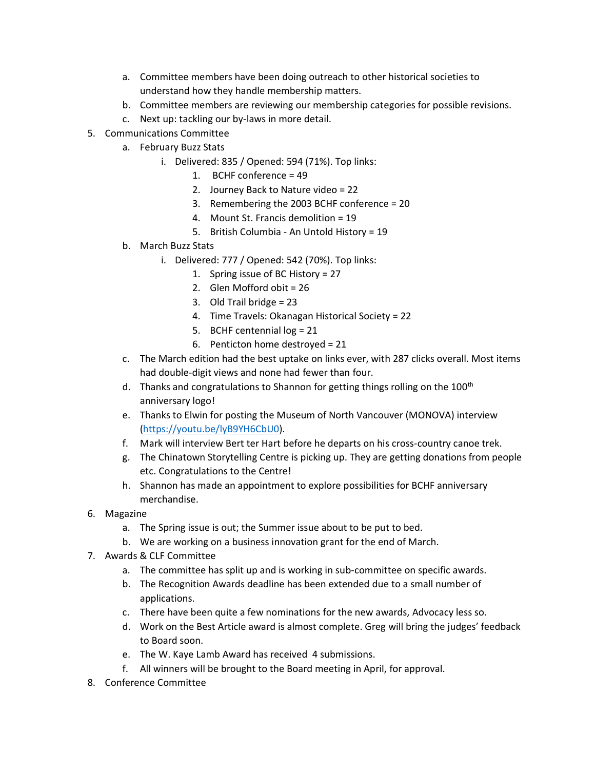- a. Committee members have been doing outreach to other historical societies to understand how they handle membership matters.
- b. Committee members are reviewing our membership categories for possible revisions.
- c. Next up: tackling our by-laws in more detail.
- 5. Communications Committee
	- a. February Buzz Stats
		- i. Delivered: 835 / Opened: 594 (71%). Top links:
			- 1. BCHF conference = 49
			- 2. Journey Back to Nature video = 22
			- 3. Remembering the 2003 BCHF conference = 20
			- 4. Mount St. Francis demolition = 19
			- 5. British Columbia An Untold History = 19
	- b. March Buzz Stats
		- i. Delivered: 777 / Opened: 542 (70%). Top links:
			- 1. Spring issue of BC History = 27
			- 2. Glen Mofford obit = 26
			- 3. Old Trail bridge = 23
			- 4. Time Travels: Okanagan Historical Society = 22
			- 5. BCHF centennial log = 21
			- 6. Penticton home destroyed = 21
	- c. The March edition had the best uptake on links ever, with 287 clicks overall. Most items had double-digit views and none had fewer than four.
	- d. Thanks and congratulations to Shannon for getting things rolling on the  $100<sup>th</sup>$ anniversary logo!
	- e. Thanks to Elwin for posting the Museum of North Vancouver (MONOVA) interview [\(https://youtu.be/lyB9YH6CbU0\)](https://youtu.be/lyB9YH6CbU0).
	- f. Mark will interview Bert ter Hart before he departs on his cross-country canoe trek.
	- g. The Chinatown Storytelling Centre is picking up. They are getting donations from people etc. Congratulations to the Centre!
	- h. Shannon has made an appointment to explore possibilities for BCHF anniversary merchandise.
- 6. Magazine
	- a. The Spring issue is out; the Summer issue about to be put to bed.
	- b. We are working on a business innovation grant for the end of March.
- 7. Awards & CLF Committee
	- a. The committee has split up and is working in sub-committee on specific awards.
	- b. The Recognition Awards deadline has been extended due to a small number of applications.
	- c. There have been quite a few nominations for the new awards, Advocacy less so.
	- d. Work on the Best Article award is almost complete. Greg will bring the judges' feedback to Board soon.
	- e. The W. Kaye Lamb Award has received 4 submissions.
	- f. All winners will be brought to the Board meeting in April, for approval.
- 8. Conference Committee